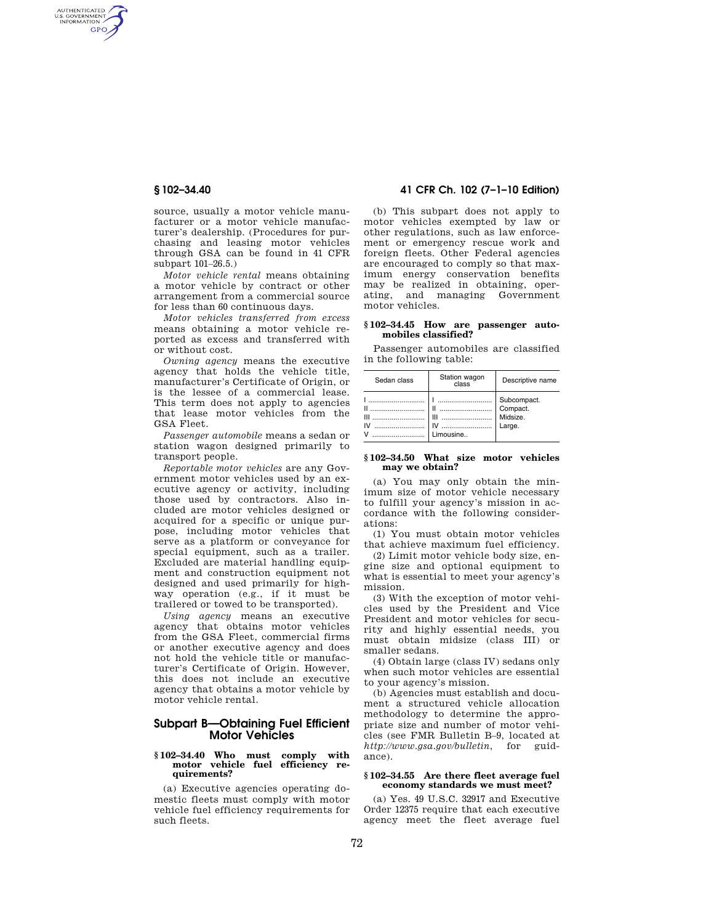AUTHENTICATED<br>U.S. GOVERNMENT<br>INFORMATION **GPO** 

> source, usually a motor vehicle manufacturer or a motor vehicle manufacturer's dealership. (Procedures for purchasing and leasing motor vehicles through GSA can be found in 41 CFR subpart 101–26.5.)

> *Motor vehicle rental* means obtaining a motor vehicle by contract or other arrangement from a commercial source for less than 60 continuous days.

> *Motor vehicles transferred from excess*  means obtaining a motor vehicle reported as excess and transferred with or without cost.

> *Owning agency* means the executive agency that holds the vehicle title, manufacturer's Certificate of Origin, or is the lessee of a commercial lease. This term does not apply to agencies that lease motor vehicles from the GSA Fleet.

> *Passenger automobile* means a sedan or station wagon designed primarily to transport people.

*Reportable motor vehicles* are any Government motor vehicles used by an executive agency or activity, including those used by contractors. Also included are motor vehicles designed or acquired for a specific or unique purpose, including motor vehicles that serve as a platform or conveyance for special equipment, such as a trailer. Excluded are material handling equipment and construction equipment not designed and used primarily for highway operation (e.g., if it must be trailered or towed to be transported).

*Using agency* means an executive agency that obtains motor vehicles from the GSA Fleet, commercial firms or another executive agency and does not hold the vehicle title or manufacturer's Certificate of Origin. However, this does not include an executive agency that obtains a motor vehicle by motor vehicle rental.

# **Subpart B—Obtaining Fuel Efficient Motor Vehicles**

#### **§ 102–34.40 Who must comply with motor vehicle fuel efficiency requirements?**

(a) Executive agencies operating domestic fleets must comply with motor vehicle fuel efficiency requirements for such fleets.

# **§ 102–34.40 41 CFR Ch. 102 (7–1–10 Edition)**

(b) This subpart does not apply to motor vehicles exempted by law or other regulations, such as law enforcement or emergency rescue work and foreign fleets. Other Federal agencies are encouraged to comply so that maximum energy conservation benefits may be realized in obtaining, operating, and managing Government motor vehicles.

## **§ 102–34.45 How are passenger automobiles classified?**

Passenger automobiles are classified in the following table:

| Sedan class                                                                           | Station wagon<br>class                                                                                                                                           | Descriptive name                              |
|---------------------------------------------------------------------------------------|------------------------------------------------------------------------------------------------------------------------------------------------------------------|-----------------------------------------------|
| $\mathbf{u}$ and $\mathbf{u}$ and $\mathbf{u}$<br>$\mathbf{m}$ and $\mathbf{m}$<br>IV | $\mathbf{1}$ and $\mathbf{1}$ and $\mathbf{1}$ and $\mathbf{1}$ and $\mathbf{1}$ and $\mathbf{1}$ and $\mathbf{1}$<br>$\mathbf{m}$ and $\mathbf{m}$<br>Limousine | Subcompact.<br>Compact.<br>Midsize.<br>Large. |

### **§ 102–34.50 What size motor vehicles may we obtain?**

(a) You may only obtain the minimum size of motor vehicle necessary to fulfill your agency's mission in accordance with the following considerations:

(1) You must obtain motor vehicles that achieve maximum fuel efficiency.

(2) Limit motor vehicle body size, engine size and optional equipment to what is essential to meet your agency's mission.

(3) With the exception of motor vehicles used by the President and Vice President and motor vehicles for security and highly essential needs, you must obtain midsize (class III) or smaller sedans.

(4) Obtain large (class IV) sedans only when such motor vehicles are essential to your agency's mission.

(b) Agencies must establish and document a structured vehicle allocation methodology to determine the appropriate size and number of motor vehicles (see FMR Bulletin B–9, located at *http://www.gsa.gov/bulletin*, for guid*http://www.gsa.gov/bulletin*, for guidance).

#### **§ 102–34.55 Are there fleet average fuel economy standards we must meet?**

(a) Yes. 49 U.S.C. 32917 and Executive Order 12375 require that each executive agency meet the fleet average fuel